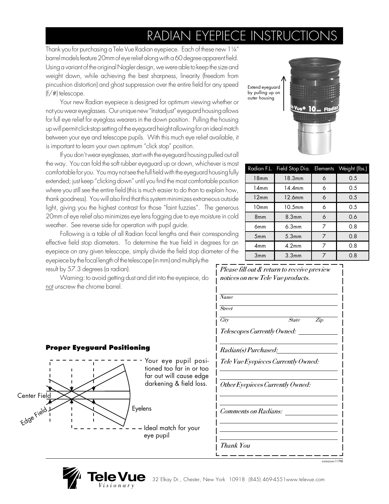# RADIAN EYEPIECE INSTRUC

Thank you for purchasing a Tele Vue Radian eyepiece. Each of these new 1¼" barrel models feature 20mm of eye relief along with a 60 degree apparent field. Using a variant of the original Nagler design, we were able to keep the size and weight down, while achieving the best sharpness, linearity (freedom from pincushion distortion) and ghost suppression over the entire field for any speed (f/#) telescope.

Your new Radian eyepiece is designed for optimum viewing whether or not you wear eyeglasses. Our unique new "Instadjust" eyeguard housing allows for full eye relief for eyeglass wearers in the down position. Pulling the housing up will permit click-stop setting of the eyeguard height allowing for an ideal match between your eye and telescope pupils. With this much eye relief available, it is important to learn your own optimum "click stop" position.

If you don't wear eyeglasses, start with the eyeguard housing pulled out all the way. You can fold the soft rubber eyeguard up or down, whichever is most comfortable for you. You may not see the full field with the eyeguard housing fully extended; just keep "clicking down" until you find the most comfortable position where you still see the entire field (this is much easier to do than to explain how, thank goodness). You will also find that this system minimizes extraneous outside light, giving you the highest contrast for those "faint fuzzies". The generous 20mm of eye relief also minimizes eye lens fogging due to eye moisture in cold weather. See reverse side for operation with pupil guide.

Following is a table of all Radian focal lengths and their corresponding effective field stop diameters. To determine the true field in degrees for an eyepiece on any given telescope, simply divide the field stop diameter of the eyepiece by the focal length of the telescope (in mm) and multiply the result by 57.3 degrees (a radian).

Warning: to avoid getting dust and dirt into the eyepiece, do not unscrew the chrome barrel.



|                 | Radian F.L. Field Stop Dia. Elements Weight (lbs.) |   |     |
|-----------------|----------------------------------------------------|---|-----|
| 18mm            | 18.3mm                                             | 6 | 0.5 |
| 14mm            | 14.4 <sub>mm</sub>                                 | 6 | 0.5 |
| 12mm            | 12.6mm                                             | 6 | 0.5 |
| 10mm            | 10.5 <sub>mm</sub>                                 | 6 | 0.5 |
| 8 <sub>mm</sub> | 8.3 <sub>mm</sub>                                  | 6 | 0.6 |
| 6 <sub>mm</sub> | 6.3 <sub>mm</sub>                                  | 7 | 0.8 |
| 5mm             | 5.3 <sub>mm</sub>                                  | 7 | 0.8 |
| 4mm             | 4.2 <sub>mm</sub>                                  | 7 | 0.8 |
| 3mm             | 3.3 <sub>mm</sub>                                  |   | 0.8 |

| Name                        |                                     |
|-----------------------------|-------------------------------------|
| Street                      |                                     |
| City                        | <b>State</b><br>$\overline{Zip}$    |
|                             | Telescopes Currently Owned:         |
| <i>Radian(s) Purchased:</i> |                                     |
|                             | Tele Vue Eyepieces Currently Owned: |
|                             | Other Eyepieces Currently Owned:    |
| Comments on Radians:        |                                     |
|                             |                                     |
|                             |                                     |

### **Proper Eyeguard Positioning**